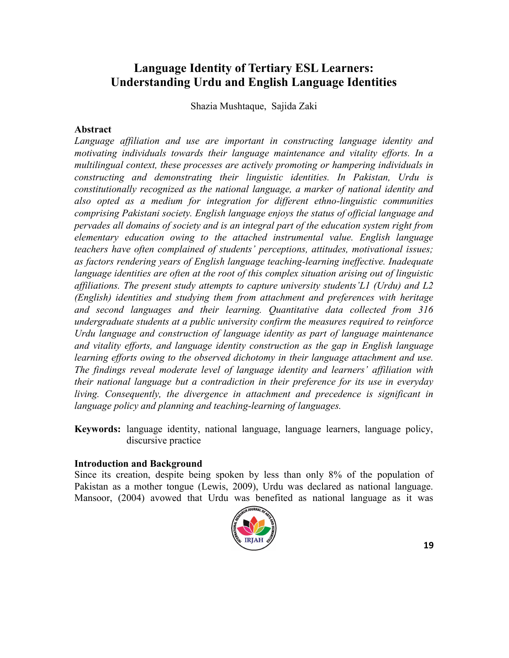# **Language Identity of Tertiary ESL Learners: Understanding Urdu and English Language Identities**

Shazia Mushtaque, Sajida Zaki

#### **Abstract**

*Language affiliation and use are important in constructing language identity and motivating individuals towards their language maintenance and vitality efforts. In a multilingual context, these processes are actively promoting or hampering individuals in constructing and demonstrating their linguistic identities. In Pakistan, Urdu is constitutionally recognized as the national language, a marker of national identity and also opted as a medium for integration for different ethno-linguistic communities comprising Pakistani society. English language enjoys the status of official language and pervades all domains of society and is an integral part of the education system right from elementary education owing to the attached instrumental value. English language teachers have often complained of students' perceptions, attitudes, motivational issues; as factors rendering years of English language teaching-learning ineffective. Inadequate language identities are often at the root of this complex situation arising out of linguistic affiliations. The present study attempts to capture university students'L1 (Urdu) and L2 (English) identities and studying them from attachment and preferences with heritage and second languages and their learning. Quantitative data collected from 316 undergraduate students at a public university confirm the measures required to reinforce Urdu language and construction of language identity as part of language maintenance and vitality efforts, and language identity construction as the gap in English language learning efforts owing to the observed dichotomy in their language attachment and use. The findings reveal moderate level of language identity and learners' affiliation with their national language but a contradiction in their preference for its use in everyday living. Consequently, the divergence in attachment and precedence is significant in language policy and planning and teaching-learning of languages.*

**Keywords:** language identity, national language, language learners, language policy, discursive practice

#### **Introduction and Background**

Since its creation, despite being spoken by less than only 8% of the population of Pakistan as a mother tongue (Lewis, 2009), Urdu was declared as national language. Mansoor, (2004) avowed that Urdu was benefited as national language as it was

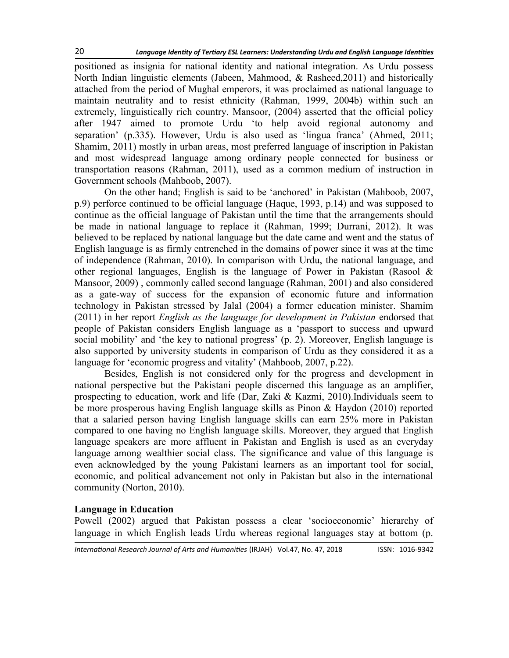positioned as insignia for national identity and national integration. As Urdu possess North Indian linguistic elements (Jabeen, Mahmood, & Rasheed,2011) and historically attached from the period of Mughal emperors, it was proclaimed as national language to maintain neutrality and to resist ethnicity (Rahman, 1999, 2004b) within such an extremely, linguistically rich country. Mansoor, (2004) asserted that the official policy after 1947 aimed to promote Urdu 'to help avoid regional autonomy and separation' (p.335). However, Urdu is also used as 'lingua franca' (Ahmed, 2011; Shamim, 2011) mostly in urban areas, most preferred language of inscription in Pakistan and most widespread language among ordinary people connected for business or transportation reasons (Rahman, 2011), used as a common medium of instruction in Government schools (Mahboob, 2007).

On the other hand; English is said to be 'anchored' in Pakistan (Mahboob, 2007, p.9) perforce continued to be official language (Haque, 1993, p.14) and was supposed to continue as the official language of Pakistan until the time that the arrangements should be made in national language to replace it (Rahman, 1999; Durrani, 2012). It was believed to be replaced by national language but the date came and went and the status of English language is as firmly entrenched in the domains of power since it was at the time of independence (Rahman, 2010). In comparison with Urdu, the national language, and other regional languages, English is the language of Power in Pakistan (Rasool  $\&$ Mansoor, 2009) , commonly called second language (Rahman, 2001) and also considered as a gate-way of success for the expansion of economic future and information technology in Pakistan stressed by Jalal (2004) a former education minister. Shamim (2011) in her report *English as the language for development in Pakistan* endorsed that people of Pakistan considers English language as a 'passport to success and upward social mobility' and 'the key to national progress' (p. 2). Moreover, English language is also supported by university students in comparison of Urdu as they considered it as a language for 'economic progress and vitality' (Mahboob, 2007, p.22).

Besides, English is not considered only for the progress and development in national perspective but the Pakistani people discerned this language as an amplifier, prospecting to education, work and life (Dar, Zaki & Kazmi, 2010).Individuals seem to be more prosperous having English language skills as Pinon & Haydon (2010) reported that a salaried person having English language skills can earn 25% more in Pakistan compared to one having no English language skills. Moreover, they argued that English language speakers are more affluent in Pakistan and English is used as an everyday language among wealthier social class. The significance and value of this language is even acknowledged by the young Pakistani learners as an important tool for social, economic, and political advancement not only in Pakistan but also in the international community (Norton, 2010).

## **Language in Education**

Powell (2002) argued that Pakistan possess a clear 'socioeconomic' hierarchy of language in which English leads Urdu whereas regional languages stay at bottom (p.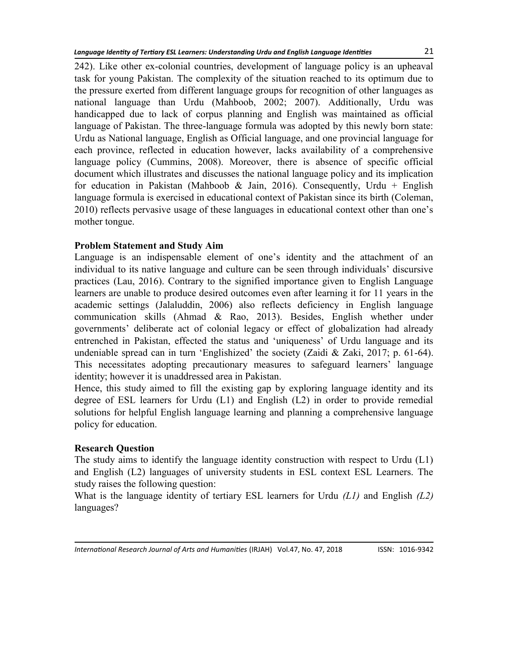242). Like other ex-colonial countries, development of language policy is an upheaval task for young Pakistan. The complexity of the situation reached to its optimum due to the pressure exerted from different language groups for recognition of other languages as national language than Urdu (Mahboob, 2002; 2007). Additionally, Urdu was handicapped due to lack of corpus planning and English was maintained as official language of Pakistan. The three-language formula was adopted by this newly born state: Urdu as National language, English as Official language, and one provincial language for each province, reflected in education however, lacks availability of a comprehensive language policy (Cummins, 2008). Moreover, there is absence of specific official document which illustrates and discusses the national language policy and its implication for education in Pakistan (Mahboob & Jain, 2016). Consequently, Urdu + English language formula is exercised in educational context of Pakistan since its birth (Coleman, 2010) reflects pervasive usage of these languages in educational context other than one's mother tongue.

# **Problem Statement and Study Aim**

Language is an indispensable element of one's identity and the attachment of an individual to its native language and culture can be seen through individuals' discursive practices (Lau, 2016). Contrary to the signified importance given to English Language learners are unable to produce desired outcomes even after learning it for 11 years in the academic settings (Jalaluddin, 2006) also reflects deficiency in English language communication skills (Ahmad & Rao, 2013). Besides, English whether under governments' deliberate act of colonial legacy or effect of globalization had already entrenched in Pakistan, effected the status and 'uniqueness' of Urdu language and its undeniable spread can in turn 'Englishized' the society (Zaidi & Zaki, 2017; p. 61-64). This necessitates adopting precautionary measures to safeguard learners' language identity; however it is unaddressed area in Pakistan.

Hence, this study aimed to fill the existing gap by exploring language identity and its degree of ESL learners for Urdu (L1) and English (L2) in order to provide remedial solutions for helpful English language learning and planning a comprehensive language policy for education.

## **Research Question**

The study aims to identify the language identity construction with respect to Urdu (L1) and English (L2) languages of university students in ESL context ESL Learners. The study raises the following question:

What is the language identity of tertiary ESL learners for Urdu *(L1)* and English *(L2)* languages?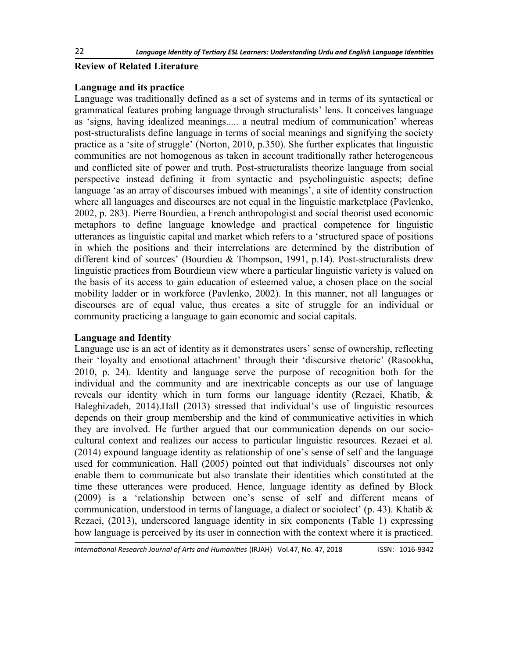## **Review of Related Literature**

#### **Language and its practice**

Language was traditionally defined as a set of systems and in terms of its syntactical or grammatical features probing language through structuralists' lens. It conceives language as 'signs, having idealized meanings..... a neutral medium of communication' whereas post-structuralists define language in terms of social meanings and signifying the society practice as a 'site of struggle' (Norton, 2010, p.350). She further explicates that linguistic communities are not homogenous as taken in account traditionally rather heterogeneous and conflicted site of power and truth. Post-structuralists theorize language from social perspective instead defining it from syntactic and psycholinguistic aspects; define language 'as an array of discourses imbued with meanings', a site of identity construction where all languages and discourses are not equal in the linguistic marketplace (Pavlenko, 2002, p. 283). Pierre Bourdieu, a French anthropologist and social theorist used economic metaphors to define language knowledge and practical competence for linguistic utterances as linguistic capital and market which refers to a ‗structured space of positions in which the positions and their interrelations are determined by the distribution of different kind of sources' (Bourdieu & Thompson, 1991, p.14). Post-structuralists drew linguistic practices from Bourdieun view where a particular linguistic variety is valued on the basis of its access to gain education of esteemed value, a chosen place on the social mobility ladder or in workforce (Pavlenko, 2002). In this manner, not all languages or discourses are of equal value, thus creates a site of struggle for an individual or community practicing a language to gain economic and social capitals.

## **Language and Identity**

Language use is an act of identity as it demonstrates users' sense of ownership, reflecting their ‗loyalty and emotional attachment' through their ‗discursive rhetoric' (Rasookha, 2010, p. 24). Identity and language serve the purpose of recognition both for the individual and the community and are inextricable concepts as our use of language reveals our identity which in turn forms our language identity (Rezaei, Khatib, & Baleghizadeh, 2014).Hall (2013) stressed that individual's use of linguistic resources depends on their group membership and the kind of communicative activities in which they are involved. He further argued that our communication depends on our sociocultural context and realizes our access to particular linguistic resources. Rezaei et al. (2014) expound language identity as relationship of one's sense of self and the language used for communication. Hall (2005) pointed out that individuals' discourses not only enable them to communicate but also translate their identities which constituted at the time these utterances were produced. Hence, language identity as defined by Block (2009) is a ‗relationship between one's sense of self and different means of communication, understood in terms of language, a dialect or sociolect' (p. 43). Khatib  $\&$ Rezaei, (2013), underscored language identity in six components (Table 1) expressing how language is perceived by its user in connection with the context where it is practiced.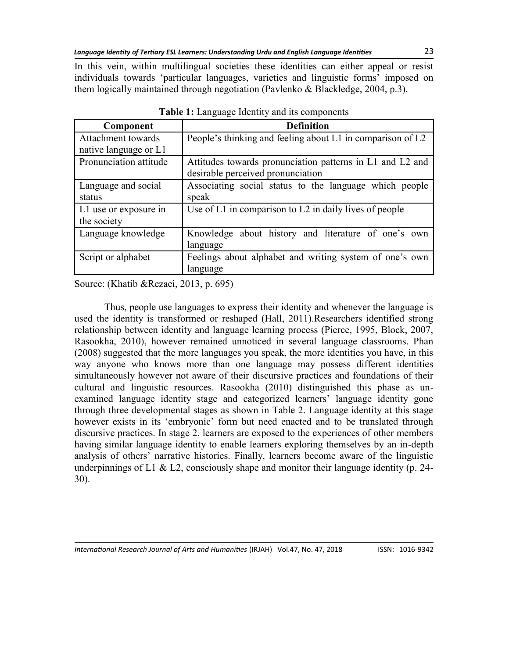In this vein, within multilingual societies these identities can either appeal or resist individuals towards ‗particular languages, varieties and linguistic forms' imposed on them logically maintained through negotiation (Pavlenko & Blackledge, 2004, p.3).

| Component              | <b>Definition</b>                                          |  |  |  |  |  |  |
|------------------------|------------------------------------------------------------|--|--|--|--|--|--|
| Attachment towards     | People's thinking and feeling about L1 in comparison of L2 |  |  |  |  |  |  |
| native language or L1  |                                                            |  |  |  |  |  |  |
| Pronunciation attitude | Attitudes towards pronunciation patterns in L1 and L2 and  |  |  |  |  |  |  |
|                        | desirable perceived pronunciation                          |  |  |  |  |  |  |
| Language and social    | Associating social status to the language which people     |  |  |  |  |  |  |
| status                 | speak                                                      |  |  |  |  |  |  |
| L1 use or exposure in  | Use of L1 in comparison to L2 in daily lives of people     |  |  |  |  |  |  |
| the society            |                                                            |  |  |  |  |  |  |
| Language knowledge     | Knowledge about history and literature of one's own        |  |  |  |  |  |  |
|                        | language                                                   |  |  |  |  |  |  |
| Script or alphabet     | Feelings about alphabet and writing system of one's own    |  |  |  |  |  |  |
|                        | language                                                   |  |  |  |  |  |  |

**Table 1:** Language Identity and its components

Source: (Khatib &Rezaei, 2013, p. 695)

Thus, people use languages to express their identity and whenever the language is used the identity is transformed or reshaped (Hall, 2011).Researchers identified strong relationship between identity and language learning process (Pierce, 1995, Block, 2007, Rasookha, 2010), however remained unnoticed in several language classrooms. Phan (2008) suggested that the more languages you speak, the more identities you have, in this way anyone who knows more than one language may possess different identities simultaneously however not aware of their discursive practices and foundations of their cultural and linguistic resources. Rasookha (2010) distinguished this phase as unexamined language identity stage and categorized learners' language identity gone through three developmental stages as shown in Table 2. Language identity at this stage however exists in its 'embryonic' form but need enacted and to be translated through discursive practices. In stage 2, learners are exposed to the experiences of other members having similar language identity to enable learners exploring themselves by an in-depth analysis of others' narrative histories. Finally, learners become aware of the linguistic underpinnings of L1 & L2, consciously shape and monitor their language identity (p. 24-30).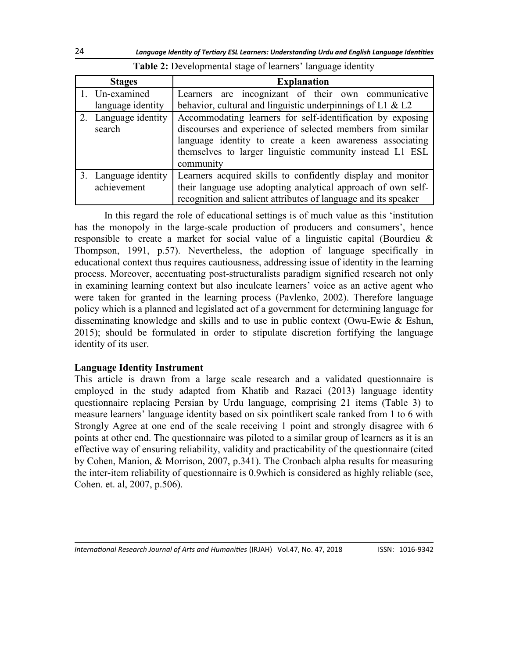| <b>Stages</b>                       | <b>Explanation</b>                                                                                                                                                                                                                                            |  |  |  |  |  |  |
|-------------------------------------|---------------------------------------------------------------------------------------------------------------------------------------------------------------------------------------------------------------------------------------------------------------|--|--|--|--|--|--|
| 1. Un-examined                      | Learners are incognizant of their own communicative                                                                                                                                                                                                           |  |  |  |  |  |  |
| language identity                   | behavior, cultural and linguistic underpinnings of L1 & L2                                                                                                                                                                                                    |  |  |  |  |  |  |
| 2. Language identity<br>search      | Accommodating learners for self-identification by exposing<br>discourses and experience of selected members from similar<br>language identity to create a keen awareness associating<br>themselves to larger linguistic community instead L1 ESL<br>community |  |  |  |  |  |  |
| 3. Language identity<br>achievement | Learners acquired skills to confidently display and monitor<br>their language use adopting analytical approach of own self-<br>recognition and salient attributes of language and its speaker                                                                 |  |  |  |  |  |  |

**Table 2:** Developmental stage of learners' language identity

In this regard the role of educational settings is of much value as this ‗institution has the monopoly in the large-scale production of producers and consumers', hence responsible to create a market for social value of a linguistic capital (Bourdieu & Thompson, 1991, p.57). Nevertheless, the adoption of language specifically in educational context thus requires cautiousness, addressing issue of identity in the learning process. Moreover, accentuating post-structuralists paradigm signified research not only in examining learning context but also inculcate learners' voice as an active agent who were taken for granted in the learning process (Pavlenko, 2002). Therefore language policy which is a planned and legislated act of a government for determining language for disseminating knowledge and skills and to use in public context (Owu-Ewie & Eshun, 2015); should be formulated in order to stipulate discretion fortifying the language identity of its user.

## **Language Identity Instrument**

This article is drawn from a large scale research and a validated questionnaire is employed in the study adapted from Khatib and Razaei (2013) language identity questionnaire replacing Persian by Urdu language, comprising 21 items (Table 3) to measure learners' language identity based on six pointlikert scale ranked from 1 to 6 with Strongly Agree at one end of the scale receiving 1 point and strongly disagree with 6 points at other end. The questionnaire was piloted to a similar group of learners as it is an effective way of ensuring reliability, validity and practicability of the questionnaire (cited by Cohen, Manion, & Morrison, 2007, p.341). The Cronbach alpha results for measuring the inter-item reliability of questionnaire is 0.9which is considered as highly reliable (see, Cohen. et. al, 2007, p.506).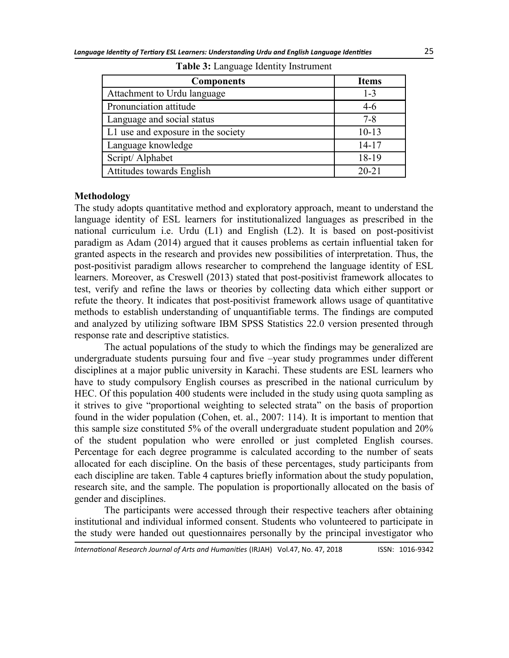| <b>Components</b>                  | <b>Items</b> |
|------------------------------------|--------------|
| Attachment to Urdu language        | $1 - 3$      |
| Pronunciation attitude             | $4-6$        |
| Language and social status         | $7 - 8$      |
| L1 use and exposure in the society | $10 - 13$    |
| Language knowledge                 | $14 - 17$    |
| Script/ Alphabet                   | 18-19        |
| Attitudes towards English          | $20 - 21$    |

**Table 3:** Language Identity Instrument

#### **Methodology**

The study adopts quantitative method and exploratory approach, meant to understand the language identity of ESL learners for institutionalized languages as prescribed in the national curriculum i.e. Urdu (L1) and English (L2). It is based on post-positivist paradigm as Adam (2014) argued that it causes problems as certain influential taken for granted aspects in the research and provides new possibilities of interpretation. Thus, the post-positivist paradigm allows researcher to comprehend the language identity of ESL learners. Moreover, as Creswell (2013) stated that post-positivist framework allocates to test, verify and refine the laws or theories by collecting data which either support or refute the theory. It indicates that post-positivist framework allows usage of quantitative methods to establish understanding of unquantifiable terms. The findings are computed and analyzed by utilizing software IBM SPSS Statistics 22.0 version presented through response rate and descriptive statistics.

The actual populations of the study to which the findings may be generalized are undergraduate students pursuing four and five –year study programmes under different disciplines at a major public university in Karachi. These students are ESL learners who have to study compulsory English courses as prescribed in the national curriculum by HEC. Of this population 400 students were included in the study using quota sampling as it strives to give "proportional weighting to selected strata" on the basis of proportion found in the wider population (Cohen, et. al., 2007: 114). It is important to mention that this sample size constituted 5% of the overall undergraduate student population and 20% of the student population who were enrolled or just completed English courses. Percentage for each degree programme is calculated according to the number of seats allocated for each discipline. On the basis of these percentages, study participants from each discipline are taken. Table 4 captures briefly information about the study population, research site, and the sample. The population is proportionally allocated on the basis of gender and disciplines.

The participants were accessed through their respective teachers after obtaining institutional and individual informed consent. Students who volunteered to participate in the study were handed out questionnaires personally by the principal investigator who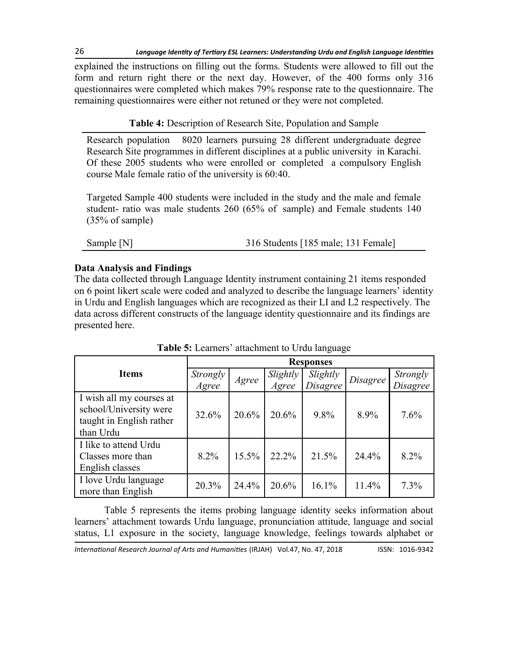explained the instructions on filling out the forms. Students were allowed to fill out the form and return right there or the next day. However, of the 400 forms only 316 questionnaires were completed which makes 79% response rate to the questionnaire. The remaining questionnaires were either not retuned or they were not completed.

# **Table 4:** Description of Research Site, Population and Sample

Research population 8020 learners pursuing 28 different undergraduate degree Research Site programmes in different disciplines at a public university in Karachi. Of these 2005 students who were enrolled or completed a compulsory English course Male female ratio of the university is 60:40.

Targeted Sample 400 students were included in the study and the male and female student- ratio was male students 260 (65% of sample) and Female students 140 (35% of sample)

| Sample [N] | 316 Students [185 male; 131 Female] |
|------------|-------------------------------------|

# **Data Analysis and Findings**

The data collected through Language Identity instrument containing 21 items responded on 6 point likert scale were coded and analyzed to describe the language learners' identity in Urdu and English languages which are recognized as their LI and L2 respectively. The data across different constructs of the language identity questionnaire and its findings are presented here.

|                                                                                             | <b>Responses</b>  |       |                   |                             |          |                             |  |
|---------------------------------------------------------------------------------------------|-------------------|-------|-------------------|-----------------------------|----------|-----------------------------|--|
| <b>Items</b>                                                                                | Strongly<br>Agree | Agree | Slightly<br>Agree | Slightly<br><b>Disagree</b> | Disagree | Strongly<br><b>Disagree</b> |  |
| I wish all my courses at<br>school/University were<br>taught in English rather<br>than Urdu | 32.6%             | 20.6% | 20.6%             | 9.8%                        | 8.9%     | 7.6%                        |  |
| I like to attend Urdu<br>Classes more than<br>English classes                               | 8.2%              | 15.5% | 22.2%             | 21.5%                       | 24.4%    | 8.2%                        |  |
| I love Urdu language<br>more than English                                                   | 20.3%             | 24.4% | 20.6%             | 16.1%                       | 11.4%    | 7.3%                        |  |

**Table 5:** Learners' attachment to Urdu language

Table 5 represents the items probing language identity seeks information about learners' attachment towards Urdu language, pronunciation attitude, language and social status, L1 exposure in the society, language knowledge, feelings towards alphabet or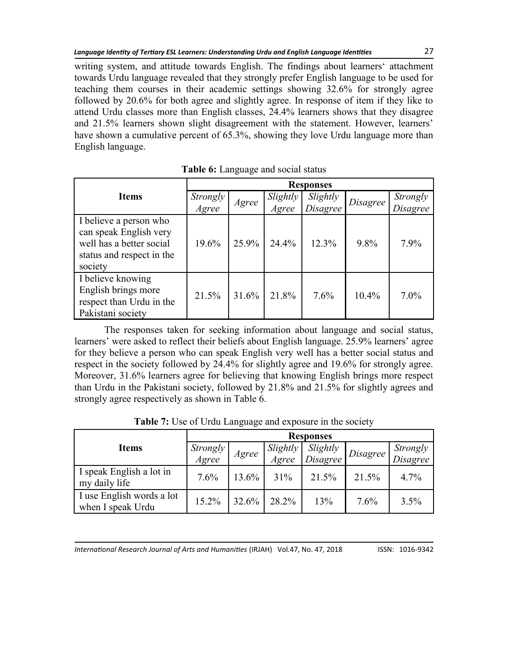writing system, and attitude towards English. The findings about learners' attachment towards Urdu language revealed that they strongly prefer English language to be used for teaching them courses in their academic settings showing 32.6% for strongly agree followed by 20.6% for both agree and slightly agree. In response of item if they like to attend Urdu classes more than English classes, 24.4% learners shows that they disagree and 21.5% learners shown slight disagreement with the statement. However, learners' have shown a cumulative percent of 65.3%, showing they love Urdu language more than English language.

|                                                                                                                      | <b>Responses</b>  |       |          |          |          |                 |  |
|----------------------------------------------------------------------------------------------------------------------|-------------------|-------|----------|----------|----------|-----------------|--|
| <b>Items</b>                                                                                                         |                   | Agree | Slightly | Slightly | Disagree | Strongly        |  |
|                                                                                                                      | Strongly<br>Agree |       | Agree    | Disagree |          | <b>Disagree</b> |  |
| I believe a person who<br>can speak English very<br>well has a better social<br>status and respect in the<br>society | 19.6%             | 25.9% | 24.4%    | 12.3%    | 9.8%     | 7.9%            |  |
| I believe knowing<br>English brings more<br>respect than Urdu in the<br>Pakistani society                            | 21.5%             | 31.6% | 21.8%    | 7.6%     | $10.4\%$ | $7.0\%$         |  |

**Table 6:** Language and social status

The responses taken for seeking information about language and social status, learners' were asked to reflect their beliefs about English language. 25.9% learners' agree for they believe a person who can speak English very well has a better social status and respect in the society followed by 24.4% for slightly agree and 19.6% for strongly agree. Moreover, 31.6% learners agree for believing that knowing English brings more respect than Urdu in the Pakistani society, followed by 21.8% and 21.5% for slightly agrees and strongly agree respectively as shown in Table 6.

**Table 7:** Use of Urdu Language and exposure in the society

|                                                | <b>Responses</b>  |                    |          |          |          |                      |  |
|------------------------------------------------|-------------------|--------------------|----------|----------|----------|----------------------|--|
| <b>Items</b>                                   | Strongly<br>Agree |                    | Slightly | Slightly | Disagree | Strongly<br>Disagree |  |
|                                                | Agree             | $\overline{Agree}$ | Disagree |          |          |                      |  |
| I speak English a lot in<br>my daily life      | 7.6%              | 13.6%              | 31%      | 21.5%    | 21.5%    | 4.7%                 |  |
| I use English words a lot<br>when I speak Urdu | 15.2%             | 32.6%              | 28.2%    | 13%      | 7.6%     | 3.5%                 |  |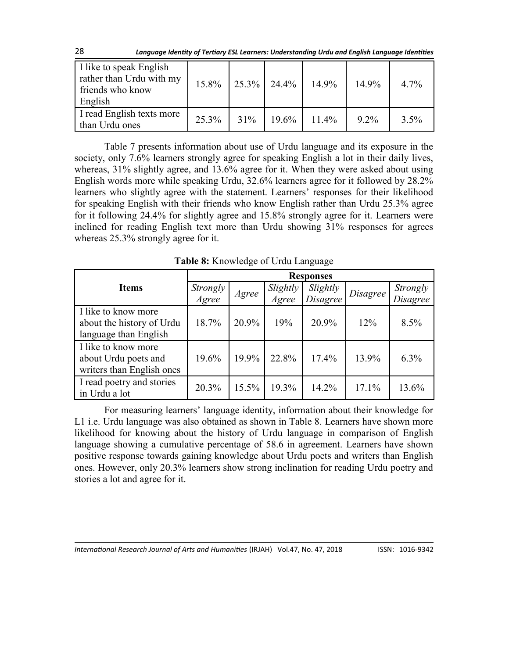| 28 | Language Identity of Tertiary ESL Learners: Understanding Urdu and English Language Identities |  |
|----|------------------------------------------------------------------------------------------------|--|
|----|------------------------------------------------------------------------------------------------|--|

| I like to speak English<br>rather than Urdu with my<br>friends who know<br>English | 15.8% |     | $25.3\%$ 24.4% | 14.9%    | 14.9%   | $4.7\%$ |
|------------------------------------------------------------------------------------|-------|-----|----------------|----------|---------|---------|
| I read English texts more<br>than Urdu ones                                        | 25.3% | 31% | $19.6\%$       | $11.4\%$ | $9.2\%$ | $3.5\%$ |

Table 7 presents information about use of Urdu language and its exposure in the society, only 7.6% learners strongly agree for speaking English a lot in their daily lives, whereas, 31% slightly agree, and 13.6% agree for it. When they were asked about using English words more while speaking Urdu, 32.6% learners agree for it followed by 28.2% learners who slightly agree with the statement. Learners' responses for their likelihood for speaking English with their friends who know English rather than Urdu 25.3% agree for it following 24.4% for slightly agree and 15.8% strongly agree for it. Learners were inclined for reading English text more than Urdu showing 31% responses for agrees whereas 25.3% strongly agree for it.

**Table 8:** Knowledge of Urdu Language

|                           | <b>Responses</b>  |       |          |                 |          |                 |  |
|---------------------------|-------------------|-------|----------|-----------------|----------|-----------------|--|
| <b>Items</b>              | Strongly<br>Agree |       | Slightly | Slightly        | Disagree | Strongly        |  |
|                           |                   | Agree | Agree    | <b>Disagree</b> |          | <i>Disagree</i> |  |
| I like to know more       |                   |       |          |                 |          |                 |  |
| about the history of Urdu | 18.7%             | 20.9% | 19%      | 20.9%           | 12%      | 8.5%            |  |
| language than English     |                   |       |          |                 |          |                 |  |
| I like to know more       |                   |       |          |                 |          |                 |  |
| about Urdu poets and      | 19.6%             | 19.9% | 22.8%    | 17.4%           | 13.9%    | 6.3%            |  |
| writers than English ones |                   |       |          |                 |          |                 |  |
| I read poetry and stories | 20.3%             | 15.5% | 19.3%    | 14.2%           | 17.1%    | 13.6%           |  |
| in Urdu a lot             |                   |       |          |                 |          |                 |  |

For measuring learners' language identity, information about their knowledge for L1 i.e. Urdu language was also obtained as shown in Table 8. Learners have shown more likelihood for knowing about the history of Urdu language in comparison of English language showing a cumulative percentage of 58.6 in agreement. Learners have shown positive response towards gaining knowledge about Urdu poets and writers than English ones. However, only 20.3% learners show strong inclination for reading Urdu poetry and stories a lot and agree for it.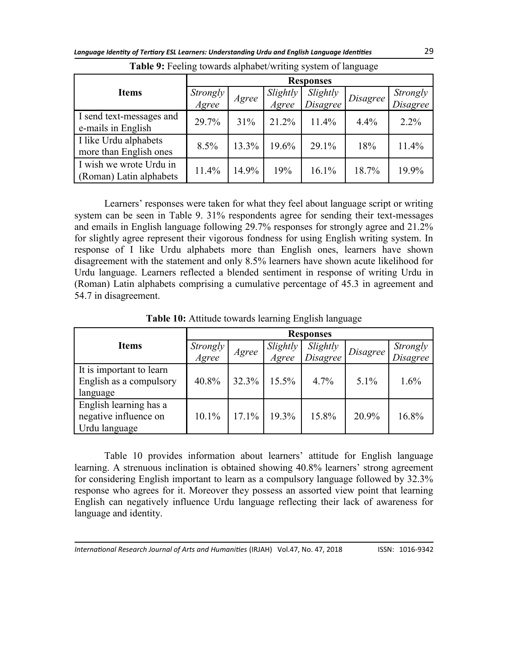|                                                    | <b>Responses</b>  |       |                   |                      |          |                      |  |
|----------------------------------------------------|-------------------|-------|-------------------|----------------------|----------|----------------------|--|
| <b>Items</b>                                       | Strongly<br>Agree | Agree | Slightly<br>Agree | Slightly<br>Disagree | Disagree | Strongly<br>Disagree |  |
| I send text-messages and<br>e-mails in English     | 29.7%             | 31%   | 21.2%             | 11.4%                | 4.4%     | $2.2\%$              |  |
| I like Urdu alphabets<br>more than English ones    | 8.5%              | 13.3% | 19.6%             | 29.1%                | 18%      | 11.4%                |  |
| I wish we wrote Urdu in<br>(Roman) Latin alphabets | 11.4%             | 14.9% | 19%               | 16.1%                | 18.7%    | 19.9%                |  |

**Table 9:** Feeling towards alphabet/writing system of language

Learners' responses were taken for what they feel about language script or writing system can be seen in Table 9. 31% respondents agree for sending their text-messages and emails in English language following 29.7% responses for strongly agree and 21.2% for slightly agree represent their vigorous fondness for using English writing system. In response of I like Urdu alphabets more than English ones, learners have shown disagreement with the statement and only 8.5% learners have shown acute likelihood for Urdu language. Learners reflected a blended sentiment in response of writing Urdu in (Roman) Latin alphabets comprising a cumulative percentage of 45.3 in agreement and 54.7 in disagreement.

**Items Responses** *Strongly Agree Agree Slightly Agree Slightly Disagree Disagree Strongly Disagree* It is important to learn English as a compulsory language 40.8% 32.3% 15.5% 4.7% 5.1% 1.6% English learning has a negative influence on Urdu language 10.1% 17.1% 19.3% 15.8% 20.9% 16.8%

**Table 10:** Attitude towards learning English language

Table 10 provides information about learners' attitude for English language learning. A strenuous inclination is obtained showing 40.8% learners' strong agreement for considering English important to learn as a compulsory language followed by 32.3% response who agrees for it. Moreover they possess an assorted view point that learning English can negatively influence Urdu language reflecting their lack of awareness for language and identity.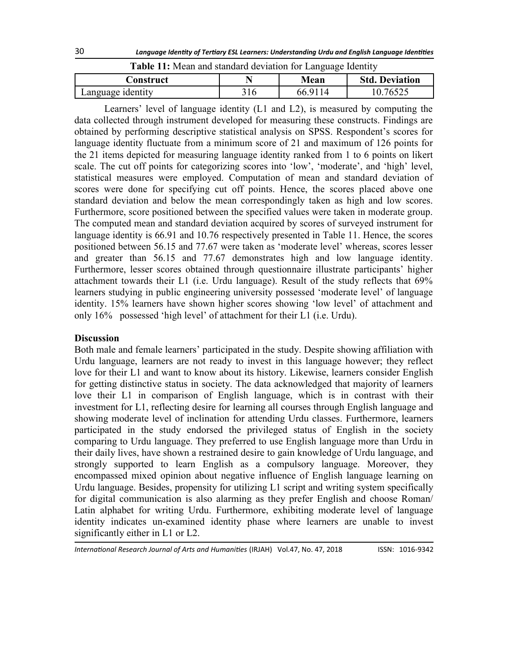| <b>Table 11.</b> Integri and standard deviation for Eanguage Rechtley |     |         |                       |  |  |  |
|-----------------------------------------------------------------------|-----|---------|-----------------------|--|--|--|
| Construct                                                             |     | Mean    | <b>Std. Deviation</b> |  |  |  |
| Language identity                                                     | 316 | 66.9114 | 10.76525              |  |  |  |

**Table 11:** Mean and standard deviation for Language Identity

Learners' level of language identity (L1 and L2), is measured by computing the data collected through instrument developed for measuring these constructs. Findings are obtained by performing descriptive statistical analysis on SPSS. Respondent's scores for language identity fluctuate from a minimum score of 21 and maximum of 126 points for the 21 items depicted for measuring language identity ranked from 1 to 6 points on likert scale. The cut off points for categorizing scores into 'low', 'moderate', and 'high' level, statistical measures were employed. Computation of mean and standard deviation of scores were done for specifying cut off points. Hence, the scores placed above one standard deviation and below the mean correspondingly taken as high and low scores. Furthermore, score positioned between the specified values were taken in moderate group. The computed mean and standard deviation acquired by scores of surveyed instrument for language identity is 66.91 and 10.76 respectively presented in Table 11. Hence, the scores positioned between 56.15 and 77.67 were taken as 'moderate level' whereas, scores lesser and greater than 56.15 and 77.67 demonstrates high and low language identity. Furthermore, lesser scores obtained through questionnaire illustrate participants' higher attachment towards their L1 (i.e. Urdu language). Result of the study reflects that 69% learners studying in public engineering university possessed 'moderate level' of language identity. 15% learners have shown higher scores showing 'low level' of attachment and only 16% possessed 'high level' of attachment for their L1 (i.e. Urdu).

## **Discussion**

Both male and female learners' participated in the study. Despite showing affiliation with Urdu language, learners are not ready to invest in this language however; they reflect love for their L1 and want to know about its history. Likewise, learners consider English for getting distinctive status in society. The data acknowledged that majority of learners love their L1 in comparison of English language, which is in contrast with their investment for L1, reflecting desire for learning all courses through English language and showing moderate level of inclination for attending Urdu classes. Furthermore, learners participated in the study endorsed the privileged status of English in the society comparing to Urdu language. They preferred to use English language more than Urdu in their daily lives, have shown a restrained desire to gain knowledge of Urdu language, and strongly supported to learn English as a compulsory language. Moreover, they encompassed mixed opinion about negative influence of English language learning on Urdu language. Besides, propensity for utilizing L1 script and writing system specifically for digital communication is also alarming as they prefer English and choose Roman/ Latin alphabet for writing Urdu. Furthermore, exhibiting moderate level of language identity indicates un-examined identity phase where learners are unable to invest significantly either in L1 or L2.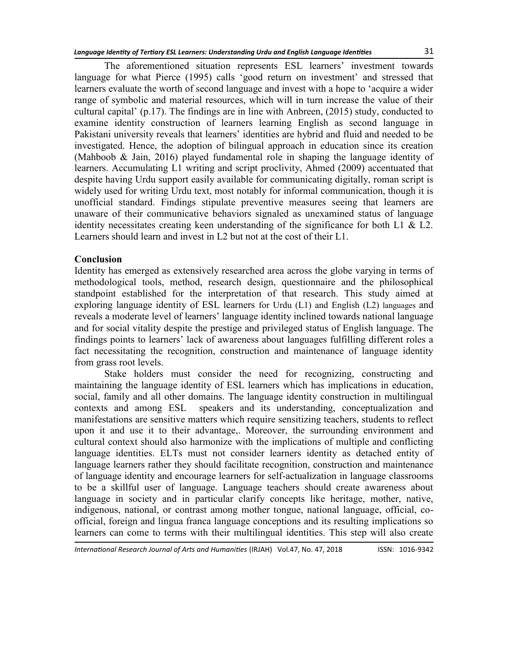The aforementioned situation represents ESL learners' investment towards language for what Pierce (1995) calls 'good return on investment' and stressed that learners evaluate the worth of second language and invest with a hope to 'acquire a wider range of symbolic and material resources, which will in turn increase the value of their cultural capital' (p.17). The findings are in line with Anbreen, (2015) study, conducted to examine identity construction of learners learning English as second language in Pakistani university reveals that learners' identities are hybrid and fluid and needed to be investigated. Hence, the adoption of bilingual approach in education since its creation (Mahboob & Jain, 2016) played fundamental role in shaping the language identity of learners. Accumulating L1 writing and script proclivity, Ahmed (2009) accentuated that despite having Urdu support easily available for communicating digitally, roman script is widely used for writing Urdu text, most notably for informal communication, though it is unofficial standard. Findings stipulate preventive measures seeing that learners are unaware of their communicative behaviors signaled as unexamined status of language identity necessitates creating keen understanding of the significance for both L1 & L2. Learners should learn and invest in L2 but not at the cost of their L1.

## **Conclusion**

Identity has emerged as extensively researched area across the globe varying in terms of methodological tools, method, research design, questionnaire and the philosophical standpoint established for the interpretation of that research. This study aimed at exploring language identity of ESL learners for Urdu (L1) and English (L2) languages and reveals a moderate level of learners' language identity inclined towards national language and for social vitality despite the prestige and privileged status of English language. The findings points to learners' lack of awareness about languages fulfilling different roles a fact necessitating the recognition, construction and maintenance of language identity from grass root levels.

Stake holders must consider the need for recognizing, constructing and maintaining the language identity of ESL learners which has implications in education, social, family and all other domains. The language identity construction in multilingual contexts and among ESL speakers and its understanding, conceptualization and manifestations are sensitive matters which require sensitizing teachers, students to reflect upon it and use it to their advantage,. Moreover, the surrounding environment and cultural context should also harmonize with the implications of multiple and conflicting language identities. ELTs must not consider learners identity as detached entity of language learners rather they should facilitate recognition, construction and maintenance of language identity and encourage learners for self-actualization in language classrooms to be a skillful user of language. Language teachers should create awareness about language in society and in particular clarify concepts like heritage, mother, native, indigenous, national, or contrast among mother tongue, national language, official, coofficial, foreign and lingua franca language conceptions and its resulting implications so learners can come to terms with their multilingual identities. This step will also create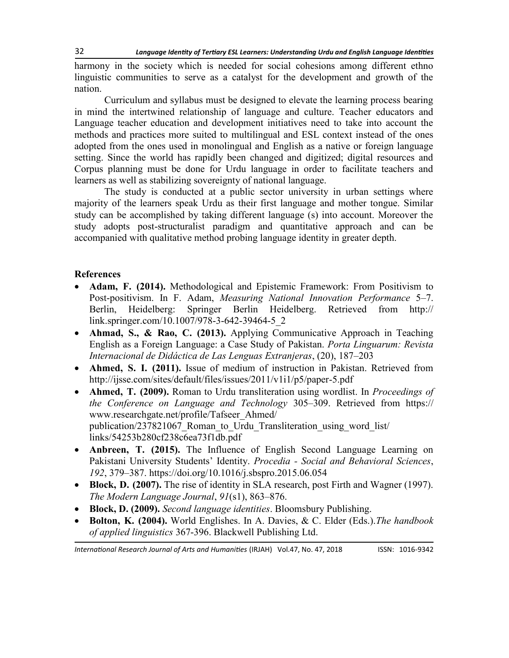harmony in the society which is needed for social cohesions among different ethno linguistic communities to serve as a catalyst for the development and growth of the nation.

Curriculum and syllabus must be designed to elevate the learning process bearing in mind the intertwined relationship of language and culture. Teacher educators and Language teacher education and development initiatives need to take into account the methods and practices more suited to multilingual and ESL context instead of the ones adopted from the ones used in monolingual and English as a native or foreign language setting. Since the world has rapidly been changed and digitized; digital resources and Corpus planning must be done for Urdu language in order to facilitate teachers and learners as well as stabilizing sovereignty of national language.

The study is conducted at a public sector university in urban settings where majority of the learners speak Urdu as their first language and mother tongue. Similar study can be accomplished by taking different language (s) into account. Moreover the study adopts post-structuralist paradigm and quantitative approach and can be accompanied with qualitative method probing language identity in greater depth.

# **References**

- **Adam, F. (2014).** Methodological and Epistemic Framework: From Positivism to Post-positivism. In F. Adam, *Measuring National Innovation Performance* 5–7. Berlin, Heidelberg: Springer Berlin Heidelberg. Retrieved from http:// link.springer.com/10.1007/978-3-642-39464-5\_2
- **Ahmad, S., & Rao, C. (2013).** Applying Communicative Approach in Teaching English as a Foreign Language: a Case Study of Pakistan. *Porta Linguarum: Revista Internacional de Didáctica de Las Lenguas Extranjeras*, (20), 187–203
- **Ahmed, S. I. (2011).** Issue of medium of instruction in Pakistan. Retrieved from http://ijsse.com/sites/default/files/issues/2011/v1i1/p5/paper-5.pdf
- **Ahmed, T. (2009).** Roman to Urdu transliteration using wordlist. In *Proceedings of the Conference on Language and Technology* 305–309. Retrieved from https:// www.researchgate.net/profile/Tafseer\_Ahmed/ publication/237821067\_Roman\_to\_Urdu\_Transliteration\_using\_word\_list/ links/54253b280cf238c6ea73f1db.pdf
- **Anbreen, T. (2015).** The Influence of English Second Language Learning on Pakistani University Students' Identity. *Procedia - Social and Behavioral Sciences*, *192*, 379–387. https://doi.org/10.1016/j.sbspro.2015.06.054
- Block, D. (2007). The rise of identity in SLA research, post Firth and Wagner (1997). *The Modern Language Journal*, *91*(s1), 863–876.
- **Block, D. (2009).** *Second language identities*. Bloomsbury Publishing.
- **Bolton, K. (2004).** World Englishes. In A. Davies, & C. Elder (Eds.).*The handbook of applied linguistics* 367-396. Blackwell Publishing Ltd.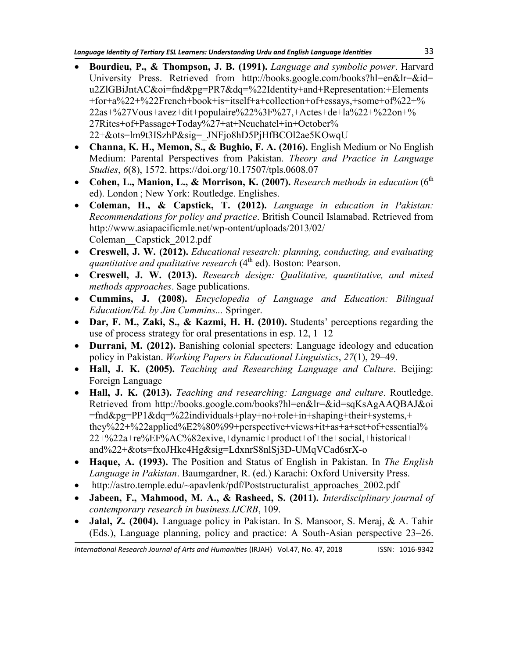- **Bourdieu, P., & Thompson, J. B. (1991).** *Language and symbolic power*. Harvard University Press. Retrieved from http://books.google.com/books?hl=en&lr=&id= u2ZlGBiJntAC&oi=fnd&pg=PR7&dq=%22Identity+and+Representation:+Elements +for+a%22+%22French+book+is+itself+a+collection+of+essays,+some+of%22+% 22as+%27Vous+avez+dit+populaire%22%3F%27,+Actes+de+la%22+%22on+% 27Rites+of+Passage+Today%27+at+Neuchatel+in+October% 22+&ots=lm9t3ISzhP&sig=\_JNFjo8hD5PjHfBCOl2ae5KOwqU
- **Channa, K. H., Memon, S., & Bughio, F. A. (2016).** English Medium or No English Medium: Parental Perspectives from Pakistan. *Theory and Practice in Language Studies*, *6*(8), 1572. https://doi.org/10.17507/tpls.0608.07
- Cohen, L., Manion, L., & Morrison, K. (2007). *Research methods in education* (6<sup>th</sup> ed). London ; New York: Routledge. Englishes.
- **Coleman, H., & Capstick, T. (2012).** *Language in education in Pakistan: Recommendations for policy and practice*. British Council Islamabad. Retrieved from http://www.asiapacificmle.net/wp-ontent/uploads/2013/02/ Coleman\_\_Capstick\_2012.pdf
- **Creswell, J. W. (2012).** *Educational research: planning, conducting, and evaluating quantitative and qualitative research* (4<sup>th</sup> ed). Boston: Pearson.
- **Creswell, J. W. (2013).** *Research design: Qualitative, quantitative, and mixed methods approaches*. Sage publications.
- **Cummins, J. (2008).** *Encyclopedia of Language and Education: Bilingual Education/Ed. by Jim Cummins...* Springer.
- **Dar, F. M., Zaki, S., & Kazmi, H. H. (2010).** Students' perceptions regarding the use of process strategy for oral presentations in esp. 12, 1–12
- **Durrani, M. (2012).** Banishing colonial specters: Language ideology and education policy in Pakistan. *Working Papers in Educational Linguistics*, *27*(1), 29–49.
- **Hall, J. K. (2005).** *Teaching and Researching Language and Culture*. Beijing: Foreign Language
- **Hall, J. K. (2013).** *Teaching and researching: Language and culture*. Routledge. Retrieved from http://books.google.com/books?hl=en&lr=&id=sqKsAgAAQBAJ&oi =fnd&pg=PP1&dq=%22individuals+play+no+role+in+shaping+their+systems,+ they%22+%22applied%E2%80%99+perspective+views+it+as+a+set+of+essential% 22+%22a+re%EF%AC%82exive,+dynamic+product+of+the+social,+historical+ and%22+&ots=fxoJHkc4Hg&sig=LdxnrS8nlSj3D-UMqVCad6srX-o
- **Haque, A. (1993).** The Position and Status of English in Pakistan. In *The English Language in Pakistan*. Baumgardner, R. (ed.) Karachi: Oxford University Press.
- http://astro.temple.edu/~apavlenk/pdf/Poststructuralist\_approaches\_2002.pdf
- **Jabeen, F., Mahmood, M. A., & Rasheed, S. (2011).** *Interdisciplinary journal of contemporary research in business.IJCRB*, 109.
- **Jalal, Z. (2004).** Language policy in Pakistan. In S. Mansoor, S. Meraj, & A. Tahir (Eds.), Language planning, policy and practice: A South-Asian perspective 23–26.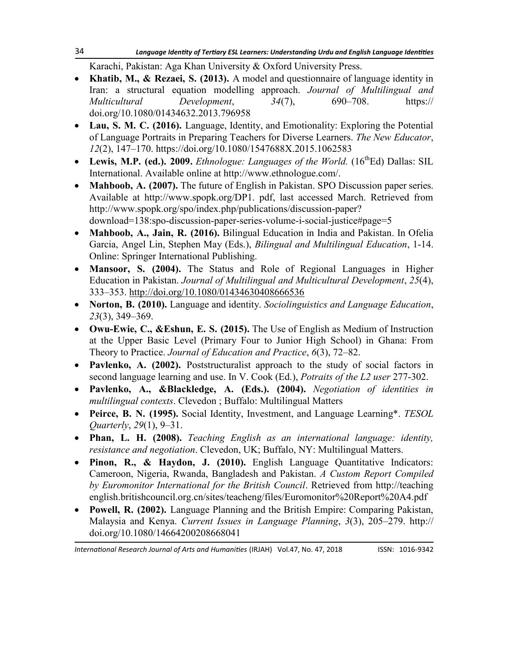Karachi, Pakistan: Aga Khan University & Oxford University Press.

- **Khatib, M., & Rezaei, S. (2013).** A model and questionnaire of language identity in Iran: a structural equation modelling approach. *Journal of Multilingual and Multicultural Development*, *34*(7), 690–708. https:// doi.org/10.1080/01434632.2013.796958
- **Lau, S. M. C. (2016).** Language, Identity, and Emotionality: Exploring the Potential of Language Portraits in Preparing Teachers for Diverse Learners. *The New Educator*, *12*(2), 147–170. https://doi.org/10.1080/1547688X.2015.1062583
- Lewis, M.P. (ed.). 2009. *Ethnologue: Languages of the World.*  $(16^{th}Ed)$  Dallas: SIL International. Available online at http://www.ethnologue.com/.
- **Mahboob, A. (2007).** The future of English in Pakistan. SPO Discussion paper series. Available at http://www.spopk.org/DP1. pdf, last accessed March. Retrieved from http://www.spopk.org/spo/index.php/publications/discussion-paper? download=138:spo-discussion-paper-series-volume-i-social-justice#page=5
- **Mahboob, A., Jain, R. (2016).** Bilingual Education in India and Pakistan. In Ofelia Garcia, Angel Lin, Stephen May (Eds.), *Bilingual and Multilingual Education*, 1-14. Online: Springer International Publishing.
- **Mansoor, S. (2004).** The Status and Role of Regional Languages in Higher Education in Pakistan. *Journal of Multilingual and Multicultural Development*, *25*(4), 333–353. <http://doi.org/10.1080/01434630408666536>
- **Norton, B. (2010).** Language and identity. *Sociolinguistics and Language Education*, *23*(3), 349–369.
- **Owu-Ewie, C., &Eshun, E. S. (2015).** The Use of English as Medium of Instruction at the Upper Basic Level (Primary Four to Junior High School) in Ghana: From Theory to Practice. *Journal of Education and Practice*, *6*(3), 72–82.
- **Pavlenko, A. (2002).** Poststructuralist approach to the study of social factors in second language learning and use. In V. Cook (Ed.), *Potraits of the L2 user* 277-302.
- **Pavlenko, A., &Blackledge, A. (Eds.). (2004).** *Negotiation of identities in multilingual contexts*. Clevedon ; Buffalo: Multilingual Matters
- **Peirce, B. N. (1995).** Social Identity, Investment, and Language Learning\*. *TESOL Quarterly*, *29*(1), 9–31.
- **Phan, L. H. (2008).** *Teaching English as an international language: identity, resistance and negotiation*. Clevedon, UK; Buffalo, NY: Multilingual Matters.
- **Pinon, R., & Haydon, J. (2010).** English Language Quantitative Indicators: Cameroon, Nigeria, Rwanda, Bangladesh and Pakistan. *A Custom Report Compiled by Euromonitor International for the British Council*. Retrieved from http://teaching english.britishcouncil.org.cn/sites/teacheng/files/Euromonitor%20Report%20A4.pdf
- **Powell, R. (2002).** Language Planning and the British Empire: Comparing Pakistan, Malaysia and Kenya. *Current Issues in Language Planning*, *3*(3), 205–279. http:// doi.org/10.1080/14664200208668041